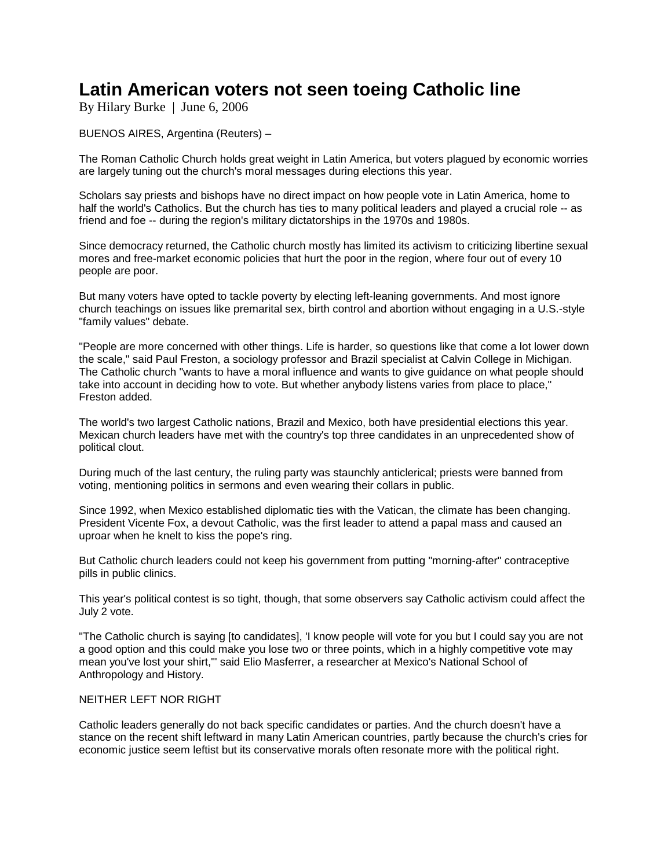## **Latin American voters not seen toeing Catholic line**

By Hilary Burke | June 6, 2006

BUENOS AIRES, Argentina (Reuters) –

The Roman Catholic Church holds great weight in Latin America, but voters plagued by economic worries are largely tuning out the church's moral messages during elections this year.

Scholars say priests and bishops have no direct impact on how people vote in Latin America, home to half the world's Catholics. But the church has ties to many political leaders and played a crucial role -- as friend and foe -- during the region's military dictatorships in the 1970s and 1980s.

Since democracy returned, the Catholic church mostly has limited its activism to criticizing libertine sexual mores and free-market economic policies that hurt the poor in the region, where four out of every 10 people are poor.

But many voters have opted to tackle poverty by electing left-leaning governments. And most ignore church teachings on issues like premarital sex, birth control and abortion without engaging in a U.S.-style "family values" debate.

"People are more concerned with other things. Life is harder, so questions like that come a lot lower down the scale," said Paul Freston, a sociology professor and Brazil specialist at Calvin College in Michigan. The Catholic church "wants to have a moral influence and wants to give guidance on what people should take into account in deciding how to vote. But whether anybody listens varies from place to place," Freston added.

The world's two largest Catholic nations, Brazil and Mexico, both have presidential elections this year. Mexican church leaders have met with the country's top three candidates in an unprecedented show of political clout.

During much of the last century, the ruling party was staunchly anticlerical; priests were banned from voting, mentioning politics in sermons and even wearing their collars in public.

Since 1992, when Mexico established diplomatic ties with the Vatican, the climate has been changing. President Vicente Fox, a devout Catholic, was the first leader to attend a papal mass and caused an uproar when he knelt to kiss the pope's ring.

But Catholic church leaders could not keep his government from putting "morning-after" contraceptive pills in public clinics.

This year's political contest is so tight, though, that some observers say Catholic activism could affect the July 2 vote.

"The Catholic church is saying [to candidates], 'I know people will vote for you but I could say you are not a good option and this could make you lose two or three points, which in a highly competitive vote may mean you've lost your shirt,"' said Elio Masferrer, a researcher at Mexico's National School of Anthropology and History.

## NEITHER LEFT NOR RIGHT

Catholic leaders generally do not back specific candidates or parties. And the church doesn't have a stance on the recent shift leftward in many Latin American countries, partly because the church's cries for economic justice seem leftist but its conservative morals often resonate more with the political right.